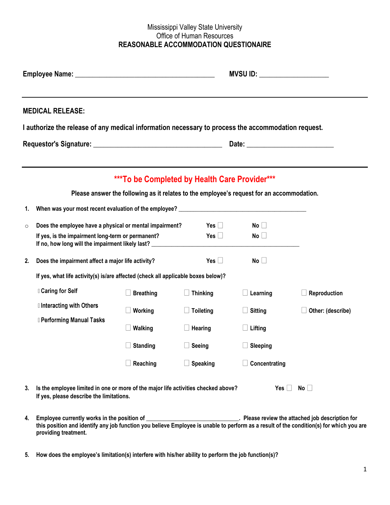## Mississippi Valley State University Office of Human Resources **REASONABLE ACCOMMODATION QUESTIONAIRE**

|               |                                                                                                                                                                                                                                                                                                                                                                                                                                    |                                                                                                                                            | <b>MVSU ID: _______________________</b> |                 |                                                |
|---------------|------------------------------------------------------------------------------------------------------------------------------------------------------------------------------------------------------------------------------------------------------------------------------------------------------------------------------------------------------------------------------------------------------------------------------------|--------------------------------------------------------------------------------------------------------------------------------------------|-----------------------------------------|-----------------|------------------------------------------------|
|               | <b>MEDICAL RELEASE:</b>                                                                                                                                                                                                                                                                                                                                                                                                            |                                                                                                                                            |                                         |                 |                                                |
|               | I authorize the release of any medical information necessary to process the accommodation request.                                                                                                                                                                                                                                                                                                                                 |                                                                                                                                            |                                         |                 |                                                |
|               |                                                                                                                                                                                                                                                                                                                                                                                                                                    | ***To be Completed by Health Care Provider***<br>Please answer the following as it relates to the employee's request for an accommodation. |                                         |                 |                                                |
| 1.<br>$\circ$ | When was your most recent evaluation of the employee? Letterman and the state of the state of the state of the state of the state of the state of the state of the state of the state of the state of the state of the state o<br>Does the employee have a physical or mental impairment?<br>If yes, is the impairment long-term or permanent?<br>If no, how long will the impairment likely last? _______________________________ |                                                                                                                                            | Yes $\Box$<br>Yes $\Box$                | No<br>No        |                                                |
| 2.            | Does the impairment affect a major life activity?                                                                                                                                                                                                                                                                                                                                                                                  |                                                                                                                                            | Yes $\Box$                              | No              |                                                |
|               | If yes, what life activity(s) is/are affected (check all applicable boxes below)?                                                                                                                                                                                                                                                                                                                                                  |                                                                                                                                            |                                         |                 |                                                |
|               | <b>Caring for Self</b>                                                                                                                                                                                                                                                                                                                                                                                                             | <b>Breathing</b>                                                                                                                           | <b>Thinking</b>                         | $\Box$ Learning | Reproduction                                   |
|               | I Interacting with Others                                                                                                                                                                                                                                                                                                                                                                                                          | Working                                                                                                                                    | <b>Toileting</b>                        | <b>Sitting</b>  | Other: (describe)                              |
|               | <b>I</b> Performing Manual Tasks                                                                                                                                                                                                                                                                                                                                                                                                   | <b>Walking</b>                                                                                                                             | Hearing                                 | $\Box$ Lifting  |                                                |
|               |                                                                                                                                                                                                                                                                                                                                                                                                                                    | <b>Standing</b>                                                                                                                            | Seeing                                  | $\Box$ Sleeping |                                                |
|               |                                                                                                                                                                                                                                                                                                                                                                                                                                    | Reaching                                                                                                                                   | <b>Speaking</b>                         | Concentrating   |                                                |
| 3.            | Is the employee limited in one or more of the major life activities checked above?<br>If yes, please describe the limitations.                                                                                                                                                                                                                                                                                                     |                                                                                                                                            | No<br>Yes ∐                             |                 |                                                |
| 4.            | Employee currently works in the position of                                                                                                                                                                                                                                                                                                                                                                                        |                                                                                                                                            |                                         |                 | Please review the attached job description for |

- **this position and identify any job function you believe Employee is unable to perform as a result of the condition(s) for which you are providing treatment.**
- **5. How does the employee's limitation(s) interfere with his/her ability to perform the job function(s)?**